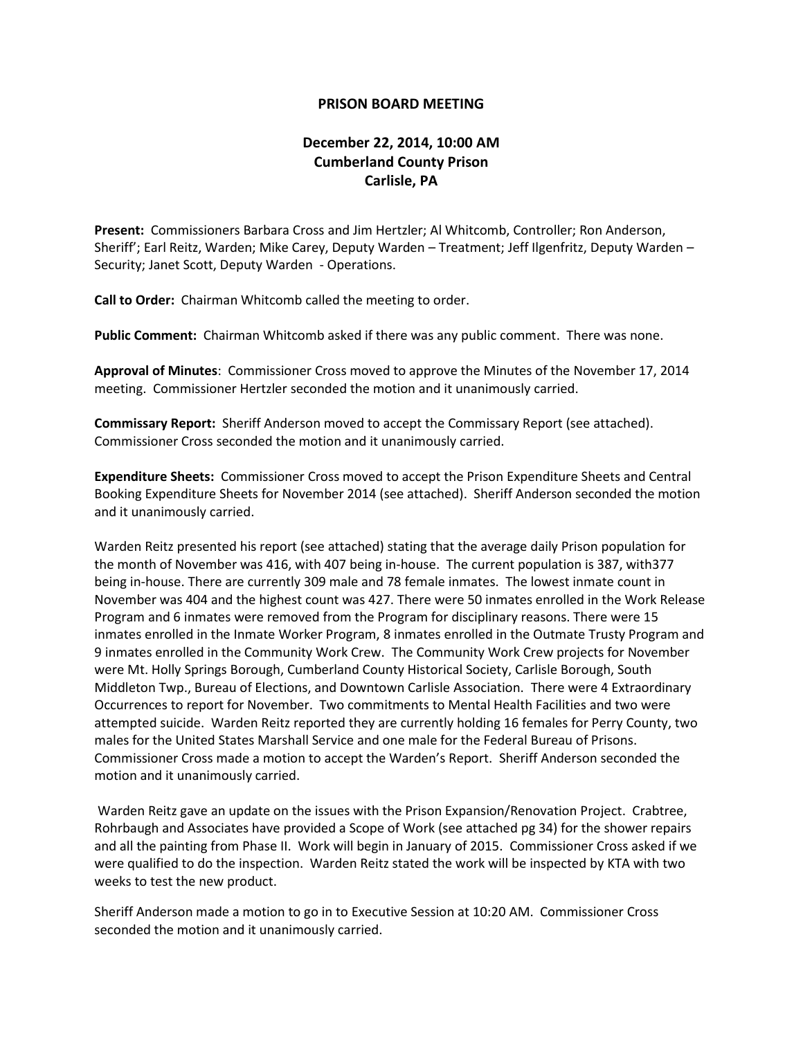## **PRISON BOARD MEETING**

## **December 22, 2014, 10:00 AM Cumberland County Prison Carlisle, PA**

**Present:** Commissioners Barbara Cross and Jim Hertzler; Al Whitcomb, Controller; Ron Anderson, Sheriff'; Earl Reitz, Warden; Mike Carey, Deputy Warden – Treatment; Jeff Ilgenfritz, Deputy Warden – Security; Janet Scott, Deputy Warden - Operations.

**Call to Order:** Chairman Whitcomb called the meeting to order.

**Public Comment:** Chairman Whitcomb asked if there was any public comment. There was none.

**Approval of Minutes**: Commissioner Cross moved to approve the Minutes of the November 17, 2014 meeting. Commissioner Hertzler seconded the motion and it unanimously carried.

**Commissary Report:** Sheriff Anderson moved to accept the Commissary Report (see attached). Commissioner Cross seconded the motion and it unanimously carried.

**Expenditure Sheets:** Commissioner Cross moved to accept the Prison Expenditure Sheets and Central Booking Expenditure Sheets for November 2014 (see attached). Sheriff Anderson seconded the motion and it unanimously carried.

Warden Reitz presented his report (see attached) stating that the average daily Prison population for the month of November was 416, with 407 being in-house. The current population is 387, with377 being in-house. There are currently 309 male and 78 female inmates. The lowest inmate count in November was 404 and the highest count was 427. There were 50 inmates enrolled in the Work Release Program and 6 inmates were removed from the Program for disciplinary reasons. There were 15 inmates enrolled in the Inmate Worker Program, 8 inmates enrolled in the Outmate Trusty Program and 9 inmates enrolled in the Community Work Crew. The Community Work Crew projects for November were Mt. Holly Springs Borough, Cumberland County Historical Society, Carlisle Borough, South Middleton Twp., Bureau of Elections, and Downtown Carlisle Association. There were 4 Extraordinary Occurrences to report for November. Two commitments to Mental Health Facilities and two were attempted suicide. Warden Reitz reported they are currently holding 16 females for Perry County, two males for the United States Marshall Service and one male for the Federal Bureau of Prisons. Commissioner Cross made a motion to accept the Warden's Report. Sheriff Anderson seconded the motion and it unanimously carried.

Warden Reitz gave an update on the issues with the Prison Expansion/Renovation Project. Crabtree, Rohrbaugh and Associates have provided a Scope of Work (see attached pg 34) for the shower repairs and all the painting from Phase II. Work will begin in January of 2015. Commissioner Cross asked if we were qualified to do the inspection. Warden Reitz stated the work will be inspected by KTA with two weeks to test the new product.

Sheriff Anderson made a motion to go in to Executive Session at 10:20 AM. Commissioner Cross seconded the motion and it unanimously carried.